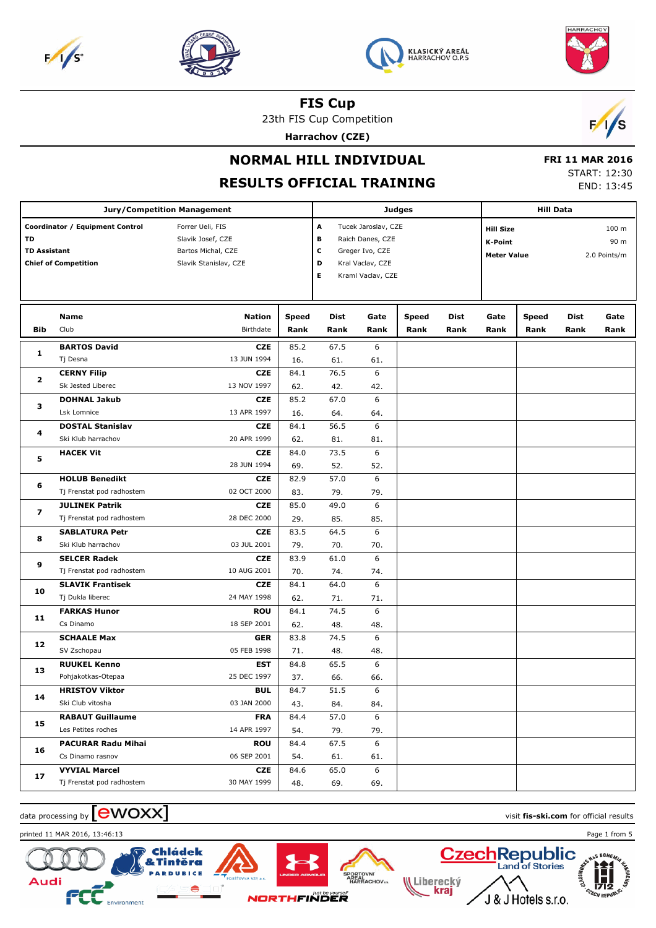





23th FIS Cup Competition

**Harrachov (CZE)**



**NORMAL HILL INDIVIDUAL**

### **RESULTS OFFICIAL TRAINING**

 **FRI 11 MAR 2016** START: 12:30 END: 13:45

|                         |                                 | Jury/Competition Management |              |      | <b>Hill Data</b>    |              |      |                                    |              |             |      |
|-------------------------|---------------------------------|-----------------------------|--------------|------|---------------------|--------------|------|------------------------------------|--------------|-------------|------|
|                         | Coordinator / Equipment Control | Forrer Ueli, FIS            |              | Α    | Tucek Jaroslav, CZE |              |      | 100 m<br><b>Hill Size</b>          |              |             |      |
| TD                      |                                 | Slavik Josef, CZE           |              | в    | Raich Danes, CZE    |              |      | <b>K-Point</b>                     |              |             | 90 m |
| <b>TD Assistant</b>     |                                 | Bartos Michal, CZE          |              | c    | Greger Ivo, CZE     |              |      | 2.0 Points/m<br><b>Meter Value</b> |              |             |      |
|                         | <b>Chief of Competition</b>     | Slavik Stanislav, CZE       |              | D    | Kral Vaclav, CZE    |              |      |                                    |              |             |      |
|                         |                                 |                             |              | Е    | Kraml Vaclav, CZE   |              |      |                                    |              |             |      |
|                         |                                 |                             |              |      |                     |              |      |                                    |              |             |      |
|                         |                                 |                             |              |      |                     |              |      |                                    |              |             |      |
|                         | Name                            | <b>Nation</b>               | <b>Speed</b> | Dist | Gate                | <b>Speed</b> | Dist | Gate                               | <b>Speed</b> | <b>Dist</b> | Gate |
| <b>Bib</b>              | Club                            | Birthdate                   | Rank         | Rank | Rank                | Rank         | Rank | Rank                               | Rank         | Rank        | Rank |
| 1                       | <b>BARTOS David</b>             | <b>CZE</b>                  | 85.2         | 67.5 | 6                   |              |      |                                    |              |             |      |
|                         | Tj Desna                        | 13 JUN 1994                 | 16.          | 61.  | 61.                 |              |      |                                    |              |             |      |
| $\overline{\mathbf{2}}$ | <b>CERNY Filip</b>              | <b>CZE</b>                  | 84.1         | 76.5 | 6                   |              |      |                                    |              |             |      |
|                         | Sk Jested Liberec               | 13 NOV 1997                 | 62.          | 42.  | 42.                 |              |      |                                    |              |             |      |
| з                       | <b>DOHNAL Jakub</b>             | <b>CZE</b>                  | 85.2         | 67.0 | 6                   |              |      |                                    |              |             |      |
|                         | Lsk Lomnice                     | 13 APR 1997                 | 16.          | 64.  | 64.                 |              |      |                                    |              |             |      |
| 4                       | <b>DOSTAL Stanislav</b>         | <b>CZE</b>                  | 84.1         | 56.5 | 6                   |              |      |                                    |              |             |      |
|                         | Ski Klub harrachov              | 20 APR 1999                 | 62.          | 81.  | 81.                 |              |      |                                    |              |             |      |
| 5                       | <b>HACEK Vit</b>                | <b>CZE</b>                  | 84.0         | 73.5 | 6                   |              |      |                                    |              |             |      |
|                         |                                 | 28 JUN 1994                 | 69.          | 52.  | 52.                 |              |      |                                    |              |             |      |
| 6                       | <b>HOLUB Benedikt</b>           | <b>CZE</b>                  | 82.9         | 57.0 | 6                   |              |      |                                    |              |             |      |
|                         | Tj Frenstat pod radhostem       | 02 OCT 2000                 | 83.          | 79.  | 79.                 |              |      |                                    |              |             |      |
| 7                       | <b>JULINEK Patrik</b>           | <b>CZE</b>                  | 85.0         | 49.0 | 6                   |              |      |                                    |              |             |      |
|                         | Tj Frenstat pod radhostem       | 28 DEC 2000                 | 29.          | 85.  | 85.                 |              |      |                                    |              |             |      |
| 8                       | <b>SABLATURA Petr</b>           | <b>CZE</b>                  | 83.5         | 64.5 | 6                   |              |      |                                    |              |             |      |
|                         | Ski Klub harrachov              | 03 JUL 2001                 | 79.          | 70.  | 70.                 |              |      |                                    |              |             |      |
| 9                       | <b>SELCER Radek</b>             | <b>CZE</b>                  | 83.9         | 61.0 | 6                   |              |      |                                    |              |             |      |
|                         | Tj Frenstat pod radhostem       | 10 AUG 2001                 | 70.          | 74.  | 74.                 |              |      |                                    |              |             |      |
| 10                      | <b>SLAVIK Frantisek</b>         | <b>CZE</b>                  | 84.1         | 64.0 | 6                   |              |      |                                    |              |             |      |
|                         | Tj Dukla liberec                | 24 MAY 1998                 | 62.          | 71.  | 71.                 |              |      |                                    |              |             |      |
| 11                      | <b>FARKAS Hunor</b>             | <b>ROU</b>                  | 84.1         | 74.5 | 6                   |              |      |                                    |              |             |      |
|                         | Cs Dinamo                       | 18 SEP 2001                 | 62.          | 48.  | 48.                 |              |      |                                    |              |             |      |
| 12                      | <b>SCHAALE Max</b>              | <b>GER</b>                  | 83.8         | 74.5 | 6                   |              |      |                                    |              |             |      |
|                         | SV Zschopau                     | 05 FEB 1998                 | 71.          | 48.  | 48.                 |              |      |                                    |              |             |      |
| 13                      | <b>RUUKEL Kenno</b>             | EST                         | 84.8         | 65.5 | 6                   |              |      |                                    |              |             |      |
|                         | Pohjakotkas-Otepaa              | 25 DEC 1997                 | 37.          | 66.  | 66.                 |              |      |                                    |              |             |      |
| 14                      | <b>HRISTOV Viktor</b>           | <b>BUL</b>                  | 84.7         | 51.5 | 6                   |              |      |                                    |              |             |      |
|                         | Ski Club vitosha                | 03 JAN 2000                 | 43.          | 84.  | 84.                 |              |      |                                    |              |             |      |
| 15                      | <b>RABAUT Guillaume</b>         | <b>FRA</b>                  | 84.4         | 57.0 | 6                   |              |      |                                    |              |             |      |
|                         | Les Petites roches              | 14 APR 1997                 | 54.          | 79.  | 79.                 |              |      |                                    |              |             |      |
| 16                      | <b>PACURAR Radu Mihai</b>       | <b>ROU</b>                  | 84.4         | 67.5 | 6                   |              |      |                                    |              |             |      |
|                         | Cs Dinamo rasnov                | 06 SEP 2001                 | 54.          | 61.  | 61.                 |              |      |                                    |              |             |      |
| 17                      | <b>VYVIAL Marcel</b>            | CZE                         | 84.6         | 65.0 | 6                   |              |      |                                    |              |             |      |
|                         | Tj Frenstat pod radhostem       | 30 MAY 1999                 | 48.          | 69.  | 69.                 |              |      |                                    |              |             |      |





Audi



**BICE** 









HARRACHOV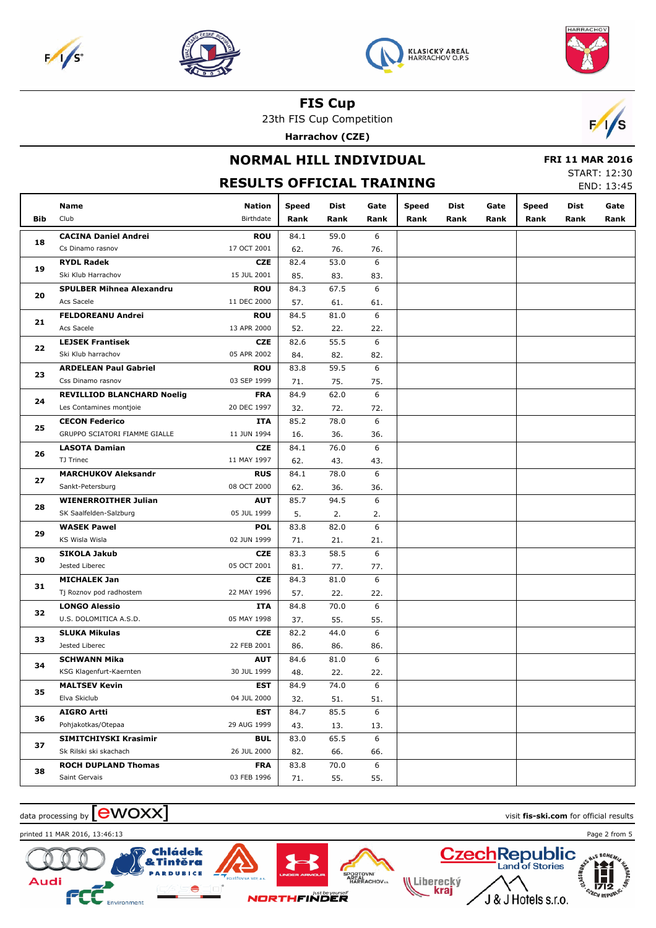







23th FIS Cup Competition

**Harrachov (CZE)**



### **NORMAL HILL INDIVIDUAL RESULTS OFFICIAL TRAINING**

#### **FRI 11 MAR 2016** START: 12:30

END: 13:45

|            | Name                                           | <b>Nation</b>             | Speed | Dist | Gate     | Speed | Dist | Gate | <b>Speed</b> | Dist | Gate |
|------------|------------------------------------------------|---------------------------|-------|------|----------|-------|------|------|--------------|------|------|
| <b>Bib</b> | Club                                           | Birthdate                 | Rank  | Rank | Rank     | Rank  | Rank | Rank | Rank         | Rank | Rank |
|            | <b>CACINA Daniel Andrei</b>                    | <b>ROU</b>                | 84.1  | 59.0 | 6        |       |      |      |              |      |      |
| 18         | Cs Dinamo rasnov                               | 17 OCT 2001               | 62.   | 76.  | 76.      |       |      |      |              |      |      |
|            | <b>RYDL Radek</b>                              | <b>CZE</b>                | 82.4  | 53.0 | 6        |       |      |      |              |      |      |
| 19         | Ski Klub Harrachov                             | 15 JUL 2001               | 85.   | 83.  | 83.      |       |      |      |              |      |      |
|            | <b>SPULBER Mihnea Alexandru</b>                | <b>ROU</b>                | 84.3  | 67.5 | 6        |       |      |      |              |      |      |
| 20         | Acs Sacele                                     | 11 DEC 2000               | 57.   | 61.  | 61.      |       |      |      |              |      |      |
|            | <b>FELDOREANU Andrei</b>                       | <b>ROU</b>                | 84.5  | 81.0 | 6        |       |      |      |              |      |      |
| 21         | Acs Sacele                                     | 13 APR 2000               | 52.   | 22.  | 22.      |       |      |      |              |      |      |
|            | <b>LEJSEK Frantisek</b>                        | <b>CZE</b>                | 82.6  | 55.5 | 6        |       |      |      |              |      |      |
| 22         | Ski Klub harrachov                             | 05 APR 2002               | 84.   | 82.  | 82.      |       |      |      |              |      |      |
|            | <b>ARDELEAN Paul Gabriel</b>                   | <b>ROU</b>                | 83.8  | 59.5 | 6        |       |      |      |              |      |      |
| 23         | Css Dinamo rasnov                              | 03 SEP 1999               | 71.   | 75.  | 75.      |       |      |      |              |      |      |
|            | <b>REVILLIOD BLANCHARD Noelig</b>              | <b>FRA</b>                | 84.9  | 62.0 | 6        |       |      |      |              |      |      |
| 24         | Les Contamines montjoie                        | 20 DEC 1997               | 32.   | 72.  | 72.      |       |      |      |              |      |      |
|            | <b>CECON Federico</b>                          | ITA                       | 85.2  | 78.0 | 6        |       |      |      |              |      |      |
| 25         | GRUPPO SCIATORI FIAMME GIALLE                  | 11 JUN 1994               |       |      |          |       |      |      |              |      |      |
|            |                                                |                           | 16.   | 36.  | 36.<br>6 |       |      |      |              |      |      |
| 26         | <b>LASOTA Damian</b><br>TJ Trinec              | <b>CZE</b><br>11 MAY 1997 | 84.1  | 76.0 | 43.      |       |      |      |              |      |      |
|            |                                                |                           | 62.   | 43.  | 6        |       |      |      |              |      |      |
| 27         | <b>MARCHUKOV Aleksandr</b><br>Sankt-Petersburg | <b>RUS</b><br>08 OCT 2000 | 84.1  | 78.0 |          |       |      |      |              |      |      |
|            |                                                |                           | 62.   | 36.  | 36.      |       |      |      |              |      |      |
| 28         | <b>WIENERROITHER Julian</b>                    | <b>AUT</b>                | 85.7  | 94.5 | 6        |       |      |      |              |      |      |
|            | SK Saalfelden-Salzburg                         | 05 JUL 1999               | 5.    | 2.   | 2.       |       |      |      |              |      |      |
| 29         | <b>WASEK Pawel</b>                             | <b>POL</b>                | 83.8  | 82.0 | 6        |       |      |      |              |      |      |
|            | KS Wisla Wisla                                 | 02 JUN 1999               | 71.   | 21.  | 21.      |       |      |      |              |      |      |
| 30         | <b>SIKOLA Jakub</b>                            | <b>CZE</b>                | 83.3  | 58.5 | 6        |       |      |      |              |      |      |
|            | Jested Liberec                                 | 05 OCT 2001               | 81.   | 77.  | 77.      |       |      |      |              |      |      |
| 31         | <b>MICHALEK Jan</b>                            | <b>CZE</b>                | 84.3  | 81.0 | 6        |       |      |      |              |      |      |
|            | Tj Roznov pod radhostem                        | 22 MAY 1996               | 57.   | 22.  | 22.      |       |      |      |              |      |      |
| 32         | <b>LONGO Alessio</b>                           | ITA                       | 84.8  | 70.0 | 6        |       |      |      |              |      |      |
|            | U.S. DOLOMITICA A.S.D.                         | 05 MAY 1998               | 37.   | 55.  | 55.      |       |      |      |              |      |      |
| 33         | <b>SLUKA Mikulas</b>                           | <b>CZE</b>                | 82.2  | 44.0 | 6        |       |      |      |              |      |      |
|            | Jested Liberec                                 | 22 FEB 2001               | 86.   | 86.  | 86.      |       |      |      |              |      |      |
| 34         | <b>SCHWANN Mika</b>                            | <b>AUT</b>                | 84.6  | 81.0 | 6        |       |      |      |              |      |      |
|            | KSG Klagenfurt-Kaernten                        | 30 JUL 1999               | 48.   | 22.  | 22.      |       |      |      |              |      |      |
| 35         | <b>MALTSEV Kevin</b>                           | <b>EST</b>                | 84.9  | 74.0 | 6        |       |      |      |              |      |      |
|            | Elva Skiclub                                   | 04 JUL 2000               | 32.   | 51.  | 51.      |       |      |      |              |      |      |
| 36         | <b>AIGRO Artti</b>                             | EST                       | 84.7  | 85.5 | 6        |       |      |      |              |      |      |
|            | Pohjakotkas/Otepaa                             | 29 AUG 1999               | 43.   | 13.  | 13.      |       |      |      |              |      |      |
| 37         | SIMITCHIYSKI Krasimir                          | <b>BUL</b>                | 83.0  | 65.5 | 6        |       |      |      |              |      |      |
|            | Sk Rilski ski skachach                         | 26 JUL 2000               | 82.   | 66.  | 66.      |       |      |      |              |      |      |
| 38         | <b>ROCH DUPLAND Thomas</b>                     | <b>FRA</b>                | 83.8  | 70.0 | 6        |       |      |      |              |      |      |
|            | Saint Gervais                                  | 03 FEB 1996               | 71.   | 55.  | 55.      |       |      |      |              |      |      |

**PORTOVNI<br>AREAL<br>HARRACHOV.** 







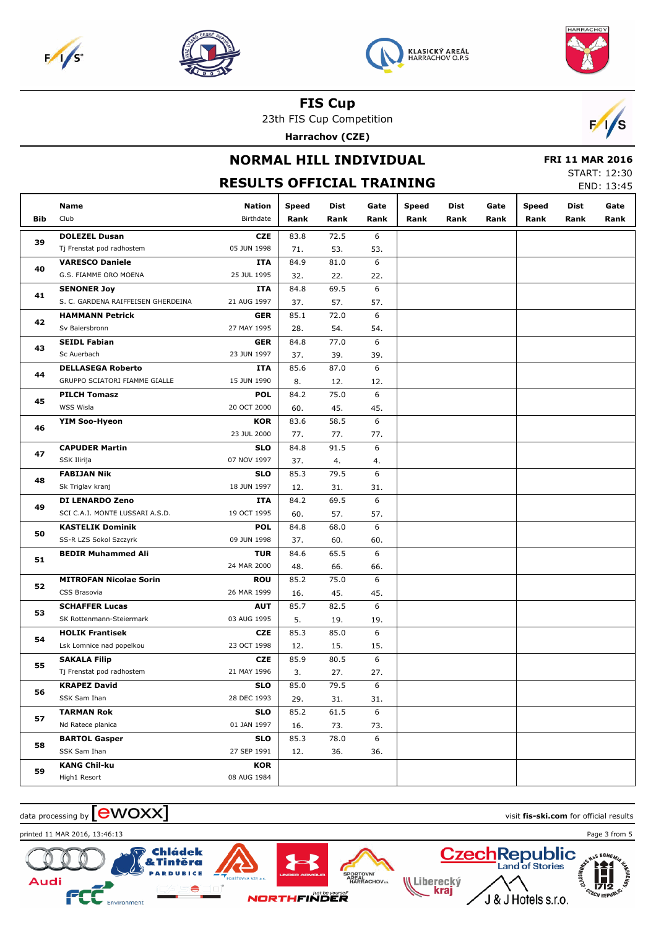







23th FIS Cup Competition

**Harrachov (CZE)**



|            |                                    |                                  |              | $\frac{1}{2}$ |      |              |      |      |              |                        |                     |
|------------|------------------------------------|----------------------------------|--------------|---------------|------|--------------|------|------|--------------|------------------------|---------------------|
|            |                                    | <b>NORMAL HILL INDIVIDUAL</b>    |              |               |      |              |      |      |              | <b>FRI 11 MAR 2016</b> |                     |
|            |                                    |                                  |              |               |      |              |      |      |              |                        | <b>START: 12:30</b> |
|            |                                    | <b>RESULTS OFFICIAL TRAINING</b> |              |               |      |              |      |      |              |                        | END: 13:45          |
|            | Name                               | <b>Nation</b>                    | <b>Speed</b> | Dist          | Gate | <b>Speed</b> | Dist | Gate | <b>Speed</b> | <b>Dist</b>            | Gate                |
| <b>Bib</b> | Club                               | Birthdate                        | Rank         | Rank          | Rank | Rank         | Rank | Rank | Rank         | Rank                   | Rank                |
|            | <b>DOLEZEL Dusan</b>               | <b>CZE</b>                       | 83.8         | 72.5          | 6    |              |      |      |              |                        |                     |
| 39         | Tj Frenstat pod radhostem          | 05 JUN 1998                      | 71.          | 53.           | 53.  |              |      |      |              |                        |                     |
|            | <b>VARESCO Daniele</b>             | ITA                              | 84.9         | 81.0          | 6    |              |      |      |              |                        |                     |
| 40         | G.S. FIAMME ORO MOENA              | 25 JUL 1995                      | 32.          | 22.           | 22.  |              |      |      |              |                        |                     |
|            | <b>SENONER Joy</b>                 | ITA                              | 84.8         | 69.5          | 6    |              |      |      |              |                        |                     |
| 41         | S. C. GARDENA RAIFFEISEN GHERDEINA | 21 AUG 1997                      | 37.          | 57.           | 57.  |              |      |      |              |                        |                     |
|            | <b>HAMMANN Petrick</b>             | GER                              | 85.1         | 72.0          | 6    |              |      |      |              |                        |                     |
| 42         | Sv Baiersbronn                     | 27 MAY 1995                      | 28.          | 54.           | 54.  |              |      |      |              |                        |                     |
|            | <b>SEIDL Fabian</b>                | GER                              | 84.8         | 77.0          | 6    |              |      |      |              |                        |                     |
| 43         | Sc Auerbach                        | 23 JUN 1997                      | 37.          | 39.           | 39.  |              |      |      |              |                        |                     |
|            | <b>DELLASEGA Roberto</b>           | ITA                              | 85.6         | 87.0          | 6    |              |      |      |              |                        |                     |
| 44         | GRUPPO SCIATORI FIAMME GIALLE      | 15 JUN 1990                      | 8.           | 12.           | 12.  |              |      |      |              |                        |                     |
|            | <b>PILCH Tomasz</b>                | <b>POL</b>                       | 84.2         | 75.0          | 6    |              |      |      |              |                        |                     |
| 45         | WSS Wisla                          | 20 OCT 2000                      | 60.          | 45.           | 45.  |              |      |      |              |                        |                     |
|            | <b>YIM Soo-Hyeon</b>               | <b>KOR</b>                       | 83.6         | 58.5          | 6    |              |      |      |              |                        |                     |
| 46         |                                    | 23 JUL 2000                      | 77.          | 77.           | 77.  |              |      |      |              |                        |                     |
|            | <b>CAPUDER Martin</b>              | <b>SLO</b>                       | 84.8         | 91.5          | 6    |              |      |      |              |                        |                     |
| 47         | SSK Ilirija                        | 07 NOV 1997                      | 37.          | 4.            | 4.   |              |      |      |              |                        |                     |
|            | <b>FABIJAN Nik</b>                 | <b>SLO</b>                       | 85.3         | 79.5          | 6    |              |      |      |              |                        |                     |
| 48         | Sk Triglav kranj                   | 18 JUN 1997                      | 12.          | 31.           | 31.  |              |      |      |              |                        |                     |
|            | <b>DI LENARDO Zeno</b>             | ITA                              | 84.2         | 69.5          | 6    |              |      |      |              |                        |                     |
| 49         | SCI C.A.I. MONTE LUSSARI A.S.D.    | 19 OCT 1995                      | 60.          | 57.           | 57.  |              |      |      |              |                        |                     |
|            | <b>KASTELIK Dominik</b>            | <b>POL</b>                       | 84.8         | 68.0          | 6    |              |      |      |              |                        |                     |
| 50         | SS-R LZS Sokol Szczyrk             | 09 JUN 1998                      | 37.          | 60.           | 60.  |              |      |      |              |                        |                     |
|            | <b>BEDIR Muhammed Ali</b>          | <b>TUR</b>                       | 84.6         | 65.5          | 6    |              |      |      |              |                        |                     |
| 51         |                                    | 24 MAR 2000                      | 48.          | 66.           | 66.  |              |      |      |              |                        |                     |
|            | <b>MITROFAN Nicolae Sorin</b>      | <b>ROU</b>                       | 85.2         | 75.0          | 6    |              |      |      |              |                        |                     |
| 52         | CSS Brasovia                       | 26 MAR 1999                      | 16.          | 45.           | 45.  |              |      |      |              |                        |                     |
|            | <b>SCHAFFER Lucas</b>              | <b>AUT</b>                       | 85.7         | 82.5          | 6    |              |      |      |              |                        |                     |
| 53         | SK Rottenmann-Steiermark           | 03 AUG 1995                      | 5.           | 19.           | 19.  |              |      |      |              |                        |                     |
|            | <b>HOLIK Frantisek</b>             | <b>CZE</b>                       | 85.3         | 85.0          | 6    |              |      |      |              |                        |                     |
| 54         | Lsk Lomnice nad popelkou           | 23 OCT 1998                      | 12.          | 15.           | 15.  |              |      |      |              |                        |                     |
|            | <b>SAKALA Filip</b>                | <b>CZE</b>                       | 85.9         | 80.5          | 6    |              |      |      |              |                        |                     |
| 55         | Tj Frenstat pod radhostem          | 21 MAY 1996                      | 3.           | 27.           | 27.  |              |      |      |              |                        |                     |
|            | <b>KRAPEZ David</b>                | <b>SLO</b>                       | 85.0         | 79.5          | 6    |              |      |      |              |                        |                     |
| 56         | SSK Sam Ihan                       | 28 DEC 1993                      | 29.          | 31.           | 31.  |              |      |      |              |                        |                     |
|            | <b>TARMAN Rok</b>                  | <b>SLO</b>                       | 85.2         | 61.5          | 6    |              |      |      |              |                        |                     |
| 57         | Nd Ratece planica                  | 01 JAN 1997                      | 16.          | 73.           | 73.  |              |      |      |              |                        |                     |
|            | <b>BARTOL Gasper</b>               | <b>SLO</b>                       | 85.3         | 78.0          | 6    |              |      |      |              |                        |                     |
|            |                                    |                                  |              |               |      |              |      |      |              |                        |                     |

12. 36. 36.

PORTOVNI<br>AREAL<br>HARRACHOV<sub>\*\*</sub>

Liberecký<br>**Kraj** 

 $\frac{1}{2}$  data processing by  $\boxed{\text{ewOX}}$ 

SSK Sam Ihan

**KANG Chil-ku** High1 Resort

**58**

**59**

**Audi** 



**NORTHFINDER** 

27 SEP 1991

**KOR** 08 AUG 1984

printed 11 MAR 2016, 13:46:13 Page 3 from 5

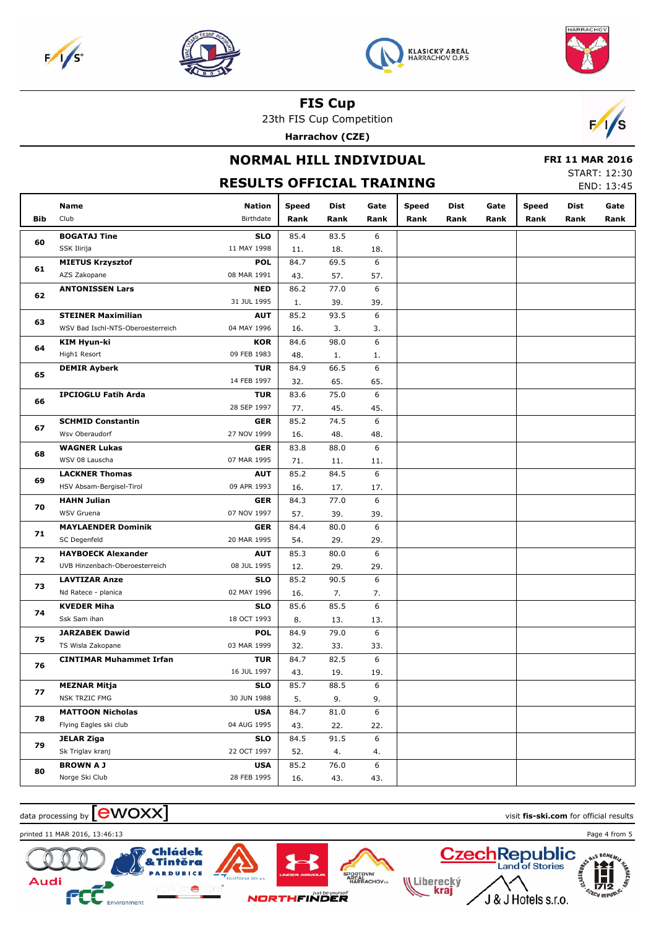







23th FIS Cup Competition

**Harrachov (CZE)**



## **NORMAL HILL INDIVIDUAL RESULTS OFFICIAL TRAINING**

#### **FRI 11 MAR 2016** START: 12:30

END: 13:45

|     | Name                              | Nation      | <b>Speed</b> | Dist | Gate | <b>Speed</b> | Dist | Gate | <b>Speed</b> | Dist | Gate |
|-----|-----------------------------------|-------------|--------------|------|------|--------------|------|------|--------------|------|------|
| Bib | Club                              | Birthdate   | Rank         | Rank | Rank | Rank         | Rank | Rank | Rank         | Rank | Rank |
|     | <b>BOGATAJ Tine</b>               | <b>SLO</b>  | 85.4         | 83.5 | 6    |              |      |      |              |      |      |
| 60  | SSK Ilirija                       | 11 MAY 1998 | 11.          | 18.  | 18.  |              |      |      |              |      |      |
|     | <b>MIETUS Krzysztof</b>           | <b>POL</b>  | 84.7         | 69.5 | 6    |              |      |      |              |      |      |
| 61  | AZS Zakopane                      | 08 MAR 1991 | 43.          | 57.  | 57.  |              |      |      |              |      |      |
|     | <b>ANTONISSEN Lars</b>            | <b>NED</b>  | 86.2         | 77.0 | 6    |              |      |      |              |      |      |
| 62  |                                   | 31 JUL 1995 | 1.           | 39.  | 39.  |              |      |      |              |      |      |
|     | <b>STEINER Maximilian</b>         | <b>AUT</b>  | 85.2         | 93.5 | 6    |              |      |      |              |      |      |
| 63  | WSV Bad Ischl-NTS-Oberoesterreich | 04 MAY 1996 | 16.          | 3.   | 3.   |              |      |      |              |      |      |
|     | KIM Hyun-ki                       | <b>KOR</b>  | 84.6         | 98.0 | 6    |              |      |      |              |      |      |
| 64  | High1 Resort                      | 09 FEB 1983 | 48.          | 1.   | 1.   |              |      |      |              |      |      |
|     | <b>DEMIR Ayberk</b>               | <b>TUR</b>  | 84.9         | 66.5 | 6    |              |      |      |              |      |      |
| 65  |                                   | 14 FEB 1997 | 32.          | 65.  | 65.  |              |      |      |              |      |      |
|     | <b>IPCIOGLU Fatih Arda</b>        | <b>TUR</b>  | 83.6         | 75.0 | 6    |              |      |      |              |      |      |
| 66  |                                   | 28 SEP 1997 | 77.          | 45.  | 45.  |              |      |      |              |      |      |
|     | <b>SCHMID Constantin</b>          | <b>GER</b>  | 85.2         | 74.5 | 6    |              |      |      |              |      |      |
| 67  | Wsv Oberaudorf                    | 27 NOV 1999 | 16.          | 48.  | 48.  |              |      |      |              |      |      |
|     | <b>WAGNER Lukas</b>               | <b>GER</b>  | 83.8         | 88.0 | 6    |              |      |      |              |      |      |
| 68  | WSV 08 Lauscha                    | 07 MAR 1995 | 71.          | 11.  | 11.  |              |      |      |              |      |      |
|     | <b>LACKNER Thomas</b>             | <b>AUT</b>  | 85.2         | 84.5 | 6    |              |      |      |              |      |      |
| 69  | HSV Absam-Bergisel-Tirol          | 09 APR 1993 | 16.          | 17.  | 17.  |              |      |      |              |      |      |
|     | <b>HAHN Julian</b>                | <b>GER</b>  | 84.3         | 77.0 | 6    |              |      |      |              |      |      |
| 70  | WSV Gruena                        | 07 NOV 1997 | 57.          | 39.  | 39.  |              |      |      |              |      |      |
|     | <b>MAYLAENDER Dominik</b>         | <b>GER</b>  | 84.4         | 80.0 | 6    |              |      |      |              |      |      |
| 71  | SC Degenfeld                      | 20 MAR 1995 | 54.          | 29.  | 29.  |              |      |      |              |      |      |
|     | <b>HAYBOECK Alexander</b>         | <b>AUT</b>  | 85.3         | 80.0 | 6    |              |      |      |              |      |      |
| 72  | UVB Hinzenbach-Oberoesterreich    | 08 JUL 1995 | 12.          | 29.  | 29.  |              |      |      |              |      |      |
|     | <b>LAVTIZAR Anze</b>              | <b>SLO</b>  | 85.2         | 90.5 | 6    |              |      |      |              |      |      |
| 73  | Nd Ratece - planica               | 02 MAY 1996 | 16.          | 7.   | 7.   |              |      |      |              |      |      |
| 74  | <b>KVEDER Miha</b>                | <b>SLO</b>  | 85.6         | 85.5 | 6    |              |      |      |              |      |      |
|     | Ssk Sam ihan                      | 18 OCT 1993 | 8.           | 13.  | 13.  |              |      |      |              |      |      |
| 75  | <b>JARZABEK Dawid</b>             | <b>POL</b>  | 84.9         | 79.0 | 6    |              |      |      |              |      |      |
|     | TS Wisla Zakopane                 | 03 MAR 1999 | 32.          | 33.  | 33.  |              |      |      |              |      |      |
| 76  | <b>CINTIMAR Muhammet Irfan</b>    | <b>TUR</b>  | 84.7         | 82.5 | 6    |              |      |      |              |      |      |
|     |                                   | 16 JUL 1997 | 43.          | 19.  | 19.  |              |      |      |              |      |      |
| 77  | <b>MEZNAR Mitja</b>               | SLO         | 85.7         | 88.5 | 6    |              |      |      |              |      |      |
|     | NSK TRZIC FMG                     | 30 JUN 1988 | 5.           | 9.   | 9.   |              |      |      |              |      |      |
| 78  | <b>MATTOON Nicholas</b>           | <b>USA</b>  | 84.7         | 81.0 | 6    |              |      |      |              |      |      |
|     | Flying Eagles ski club            | 04 AUG 1995 | 43.          | 22.  | 22.  |              |      |      |              |      |      |
|     | <b>JELAR Ziga</b>                 | <b>SLO</b>  | 84.5         | 91.5 | 6    |              |      |      |              |      |      |
| 79  | Sk Triglav kranj                  | 22 OCT 1997 | 52.          | 4.   | 4.   |              |      |      |              |      |      |
|     | <b>BROWN A J</b>                  | <b>USA</b>  | 85.2         | 76.0 | 6    |              |      |      |              |      |      |
| 80  | Norge Ski Club                    | 28 FEB 1995 | 16.          | 43.  | 43.  |              |      |      |              |      |      |